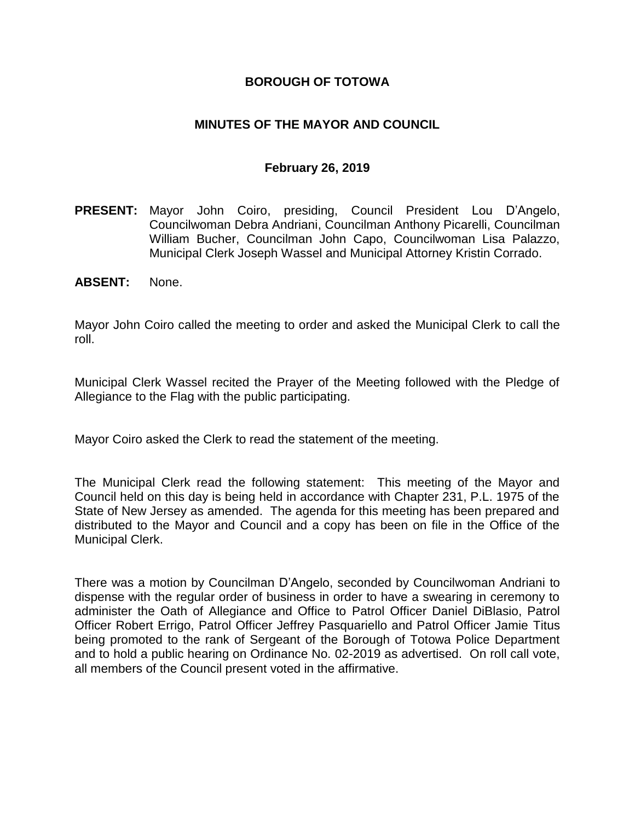### **BOROUGH OF TOTOWA**

### **MINUTES OF THE MAYOR AND COUNCIL**

#### **February 26, 2019**

**PRESENT:** Mayor John Coiro, presiding, Council President Lou D'Angelo, Councilwoman Debra Andriani, Councilman Anthony Picarelli, Councilman William Bucher, Councilman John Capo, Councilwoman Lisa Palazzo, Municipal Clerk Joseph Wassel and Municipal Attorney Kristin Corrado.

#### **ABSENT:** None.

Mayor John Coiro called the meeting to order and asked the Municipal Clerk to call the roll.

Municipal Clerk Wassel recited the Prayer of the Meeting followed with the Pledge of Allegiance to the Flag with the public participating.

Mayor Coiro asked the Clerk to read the statement of the meeting.

The Municipal Clerk read the following statement: This meeting of the Mayor and Council held on this day is being held in accordance with Chapter 231, P.L. 1975 of the State of New Jersey as amended. The agenda for this meeting has been prepared and distributed to the Mayor and Council and a copy has been on file in the Office of the Municipal Clerk.

There was a motion by Councilman D'Angelo, seconded by Councilwoman Andriani to dispense with the regular order of business in order to have a swearing in ceremony to administer the Oath of Allegiance and Office to Patrol Officer Daniel DiBlasio, Patrol Officer Robert Errigo, Patrol Officer Jeffrey Pasquariello and Patrol Officer Jamie Titus being promoted to the rank of Sergeant of the Borough of Totowa Police Department and to hold a public hearing on Ordinance No. 02-2019 as advertised. On roll call vote, all members of the Council present voted in the affirmative.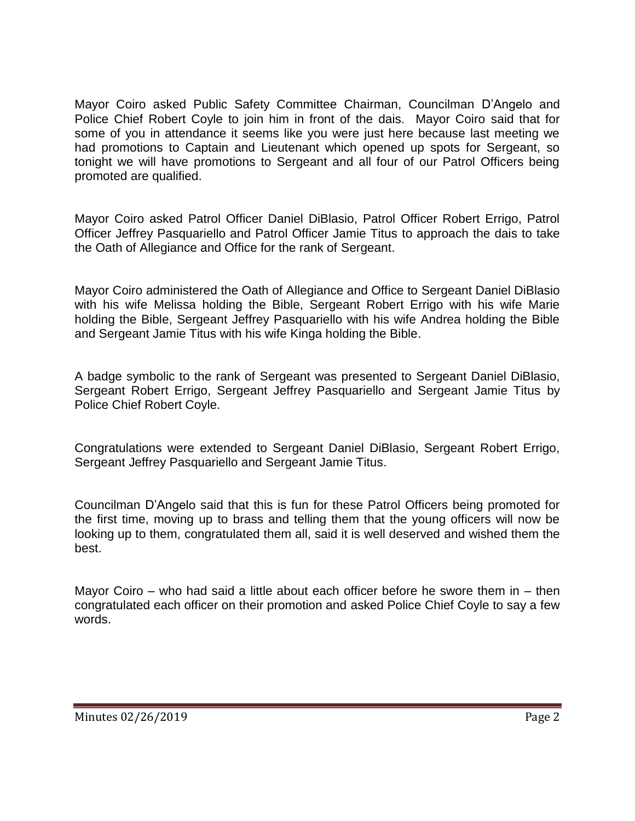Mayor Coiro asked Public Safety Committee Chairman, Councilman D'Angelo and Police Chief Robert Coyle to join him in front of the dais. Mayor Coiro said that for some of you in attendance it seems like you were just here because last meeting we had promotions to Captain and Lieutenant which opened up spots for Sergeant, so tonight we will have promotions to Sergeant and all four of our Patrol Officers being promoted are qualified.

Mayor Coiro asked Patrol Officer Daniel DiBlasio, Patrol Officer Robert Errigo, Patrol Officer Jeffrey Pasquariello and Patrol Officer Jamie Titus to approach the dais to take the Oath of Allegiance and Office for the rank of Sergeant.

Mayor Coiro administered the Oath of Allegiance and Office to Sergeant Daniel DiBlasio with his wife Melissa holding the Bible, Sergeant Robert Errigo with his wife Marie holding the Bible, Sergeant Jeffrey Pasquariello with his wife Andrea holding the Bible and Sergeant Jamie Titus with his wife Kinga holding the Bible.

A badge symbolic to the rank of Sergeant was presented to Sergeant Daniel DiBlasio, Sergeant Robert Errigo, Sergeant Jeffrey Pasquariello and Sergeant Jamie Titus by Police Chief Robert Coyle.

Congratulations were extended to Sergeant Daniel DiBlasio, Sergeant Robert Errigo, Sergeant Jeffrey Pasquariello and Sergeant Jamie Titus.

Councilman D'Angelo said that this is fun for these Patrol Officers being promoted for the first time, moving up to brass and telling them that the young officers will now be looking up to them, congratulated them all, said it is well deserved and wished them the best.

Mayor Coiro – who had said a little about each officer before he swore them in – then congratulated each officer on their promotion and asked Police Chief Coyle to say a few words.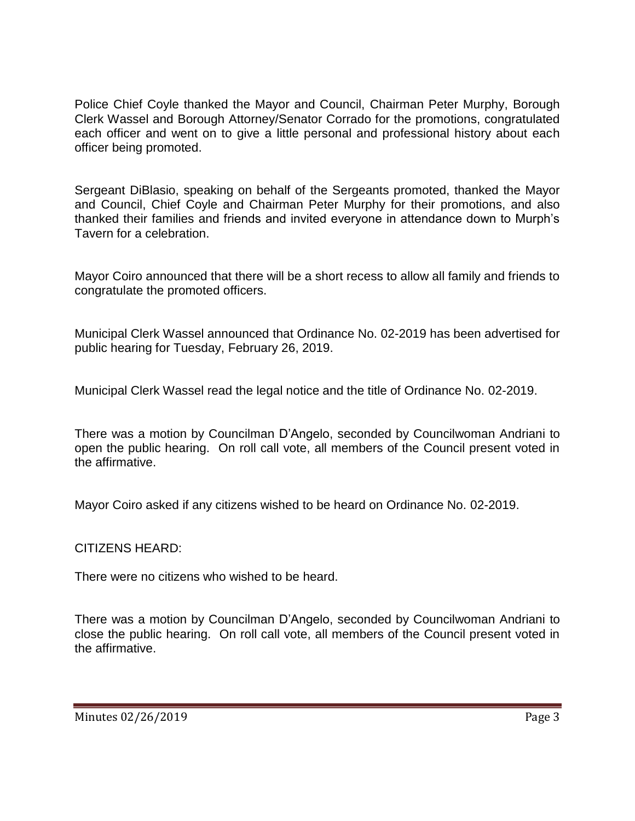Police Chief Coyle thanked the Mayor and Council, Chairman Peter Murphy, Borough Clerk Wassel and Borough Attorney/Senator Corrado for the promotions, congratulated each officer and went on to give a little personal and professional history about each officer being promoted.

Sergeant DiBlasio, speaking on behalf of the Sergeants promoted, thanked the Mayor and Council, Chief Coyle and Chairman Peter Murphy for their promotions, and also thanked their families and friends and invited everyone in attendance down to Murph's Tavern for a celebration.

Mayor Coiro announced that there will be a short recess to allow all family and friends to congratulate the promoted officers.

Municipal Clerk Wassel announced that Ordinance No. 02-2019 has been advertised for public hearing for Tuesday, February 26, 2019.

Municipal Clerk Wassel read the legal notice and the title of Ordinance No. 02-2019.

There was a motion by Councilman D'Angelo, seconded by Councilwoman Andriani to open the public hearing. On roll call vote, all members of the Council present voted in the affirmative.

Mayor Coiro asked if any citizens wished to be heard on Ordinance No. 02-2019.

CITIZENS HEARD:

There were no citizens who wished to be heard.

There was a motion by Councilman D'Angelo, seconded by Councilwoman Andriani to close the public hearing. On roll call vote, all members of the Council present voted in the affirmative.

Minutes 02/26/2019 **Page 3**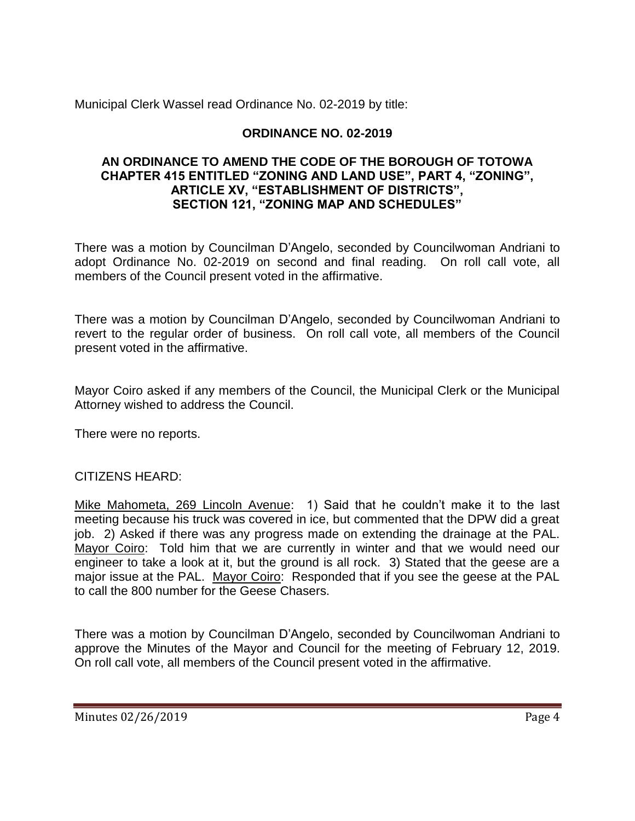Municipal Clerk Wassel read Ordinance No. 02-2019 by title:

## **ORDINANCE NO. 02-2019**

#### **AN ORDINANCE TO AMEND THE CODE OF THE BOROUGH OF TOTOWA CHAPTER 415 ENTITLED "ZONING AND LAND USE", PART 4, "ZONING", ARTICLE XV, "ESTABLISHMENT OF DISTRICTS", SECTION 121, "ZONING MAP AND SCHEDULES"**

There was a motion by Councilman D'Angelo, seconded by Councilwoman Andriani to adopt Ordinance No. 02-2019 on second and final reading. On roll call vote, all members of the Council present voted in the affirmative.

There was a motion by Councilman D'Angelo, seconded by Councilwoman Andriani to revert to the regular order of business. On roll call vote, all members of the Council present voted in the affirmative.

Mayor Coiro asked if any members of the Council, the Municipal Clerk or the Municipal Attorney wished to address the Council.

There were no reports.

## CITIZENS HEARD:

Mike Mahometa, 269 Lincoln Avenue: 1) Said that he couldn't make it to the last meeting because his truck was covered in ice, but commented that the DPW did a great job. 2) Asked if there was any progress made on extending the drainage at the PAL. Mayor Coiro: Told him that we are currently in winter and that we would need our engineer to take a look at it, but the ground is all rock. 3) Stated that the geese are a major issue at the PAL. Mayor Coiro: Responded that if you see the geese at the PAL to call the 800 number for the Geese Chasers.

There was a motion by Councilman D'Angelo, seconded by Councilwoman Andriani to approve the Minutes of the Mayor and Council for the meeting of February 12, 2019. On roll call vote, all members of the Council present voted in the affirmative.

Minutes 02/26/2019 **Page 4**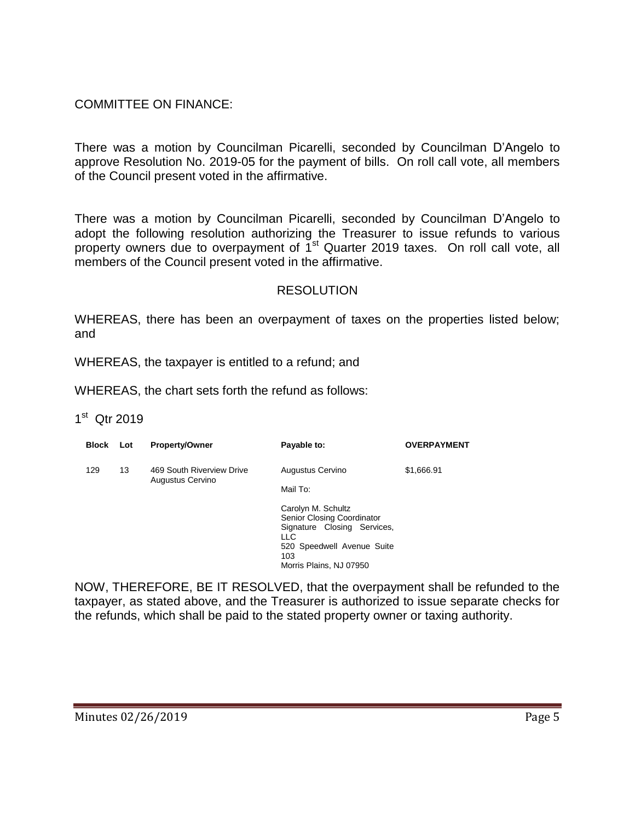## COMMITTEE ON FINANCE:

There was a motion by Councilman Picarelli, seconded by Councilman D'Angelo to approve Resolution No. 2019-05 for the payment of bills. On roll call vote, all members of the Council present voted in the affirmative.

There was a motion by Councilman Picarelli, seconded by Councilman D'Angelo to adopt the following resolution authorizing the Treasurer to issue refunds to various property owners due to overpayment of 1<sup>st</sup> Quarter 2019 taxes. On roll call vote, all members of the Council present voted in the affirmative.

#### RESOLUTION

WHEREAS, there has been an overpayment of taxes on the properties listed below; and

WHEREAS, the taxpayer is entitled to a refund; and

WHEREAS, the chart sets forth the refund as follows:

### 1<sup>st</sup> Qtr 2019

| <b>Block</b> | Lot | <b>Property/Owner</b>                         | Payable to:                                                                                                                                                                                          | <b>OVERPAYMENT</b> |
|--------------|-----|-----------------------------------------------|------------------------------------------------------------------------------------------------------------------------------------------------------------------------------------------------------|--------------------|
| 129          | 13  | 469 South Riverview Drive<br>Augustus Cervino | Augustus Cervino<br>Mail To:<br>Carolyn M. Schultz<br><b>Senior Closing Coordinator</b><br>Signature Closing Services,<br><b>LLC</b><br>520 Speedwell Avenue Suite<br>103<br>Morris Plains, NJ 07950 | \$1,666.91         |

NOW, THEREFORE, BE IT RESOLVED, that the overpayment shall be refunded to the taxpayer, as stated above, and the Treasurer is authorized to issue separate checks for the refunds, which shall be paid to the stated property owner or taxing authority.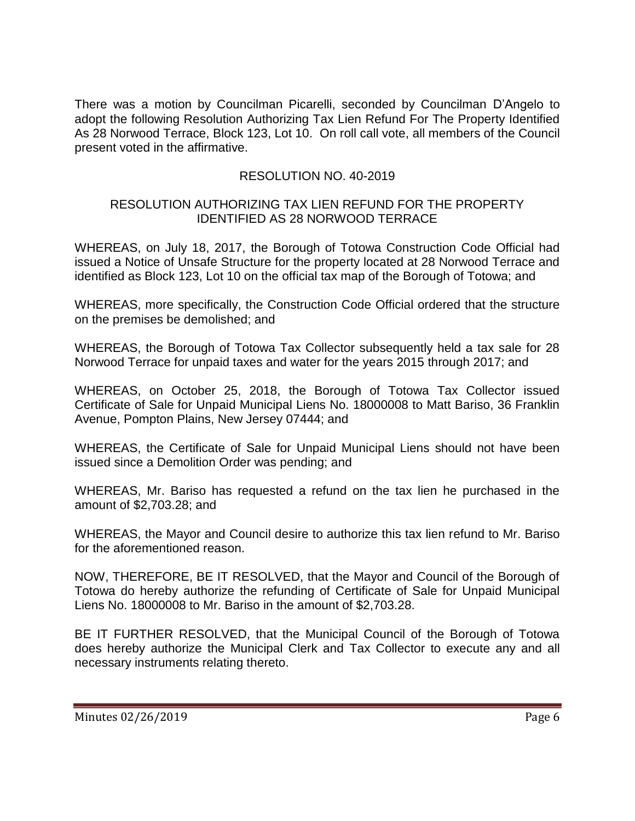There was a motion by Councilman Picarelli, seconded by Councilman D'Angelo to adopt the following Resolution Authorizing Tax Lien Refund For The Property Identified As 28 Norwood Terrace, Block 123, Lot 10. On roll call vote, all members of the Council present voted in the affirmative.

## RESOLUTION NO. 40-2019

#### RESOLUTION AUTHORIZING TAX LIEN REFUND FOR THE PROPERTY IDENTIFIED AS 28 NORWOOD TERRACE

WHEREAS, on July 18, 2017, the Borough of Totowa Construction Code Official had issued a Notice of Unsafe Structure for the property located at 28 Norwood Terrace and identified as Block 123, Lot 10 on the official tax map of the Borough of Totowa; and

WHEREAS, more specifically, the Construction Code Official ordered that the structure on the premises be demolished; and

WHEREAS, the Borough of Totowa Tax Collector subsequently held a tax sale for 28 Norwood Terrace for unpaid taxes and water for the years 2015 through 2017; and

WHEREAS, on October 25, 2018, the Borough of Totowa Tax Collector issued Certificate of Sale for Unpaid Municipal Liens No. 18000008 to Matt Bariso, 36 Franklin Avenue, Pompton Plains, New Jersey 07444; and

WHEREAS, the Certificate of Sale for Unpaid Municipal Liens should not have been issued since a Demolition Order was pending; and

WHEREAS, Mr. Bariso has requested a refund on the tax lien he purchased in the amount of \$2,703.28; and

WHEREAS, the Mayor and Council desire to authorize this tax lien refund to Mr. Bariso for the aforementioned reason.

NOW, THEREFORE, BE IT RESOLVED, that the Mayor and Council of the Borough of Totowa do hereby authorize the refunding of Certificate of Sale for Unpaid Municipal Liens No. 18000008 to Mr. Bariso in the amount of \$2,703.28.

BE IT FURTHER RESOLVED, that the Municipal Council of the Borough of Totowa does hereby authorize the Municipal Clerk and Tax Collector to execute any and all necessary instruments relating thereto.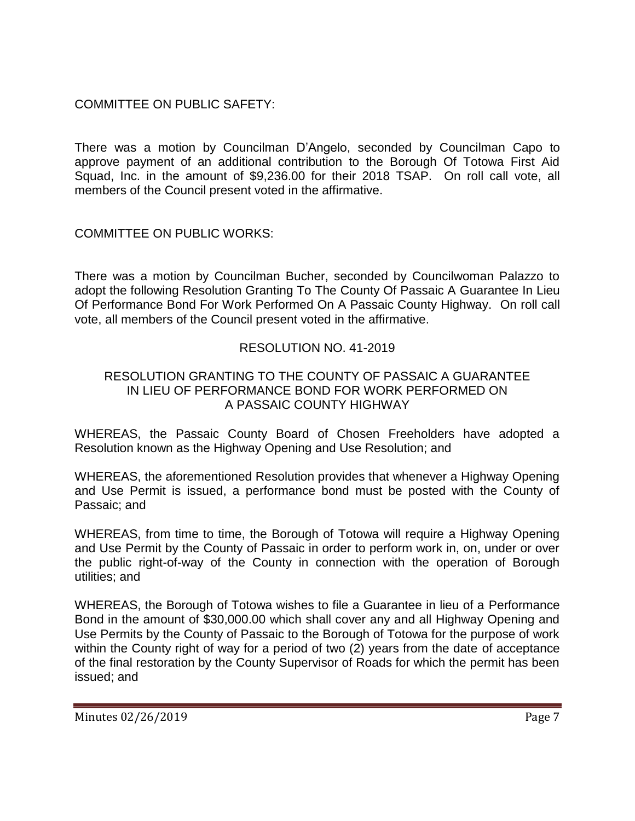COMMITTEE ON PUBLIC SAFETY:

There was a motion by Councilman D'Angelo, seconded by Councilman Capo to approve payment of an additional contribution to the Borough Of Totowa First Aid Squad, Inc. in the amount of \$9,236.00 for their 2018 TSAP. On roll call vote, all members of the Council present voted in the affirmative.

COMMITTEE ON PUBLIC WORKS:

There was a motion by Councilman Bucher, seconded by Councilwoman Palazzo to adopt the following Resolution Granting To The County Of Passaic A Guarantee In Lieu Of Performance Bond For Work Performed On A Passaic County Highway. On roll call vote, all members of the Council present voted in the affirmative.

## RESOLUTION NO. 41-2019

#### RESOLUTION GRANTING TO THE COUNTY OF PASSAIC A GUARANTEE IN LIEU OF PERFORMANCE BOND FOR WORK PERFORMED ON A PASSAIC COUNTY HIGHWAY

WHEREAS, the Passaic County Board of Chosen Freeholders have adopted a Resolution known as the Highway Opening and Use Resolution; and

WHEREAS, the aforementioned Resolution provides that whenever a Highway Opening and Use Permit is issued, a performance bond must be posted with the County of Passaic; and

WHEREAS, from time to time, the Borough of Totowa will require a Highway Opening and Use Permit by the County of Passaic in order to perform work in, on, under or over the public right-of-way of the County in connection with the operation of Borough utilities; and

WHEREAS, the Borough of Totowa wishes to file a Guarantee in lieu of a Performance Bond in the amount of \$30,000.00 which shall cover any and all Highway Opening and Use Permits by the County of Passaic to the Borough of Totowa for the purpose of work within the County right of way for a period of two (2) years from the date of acceptance of the final restoration by the County Supervisor of Roads for which the permit has been issued; and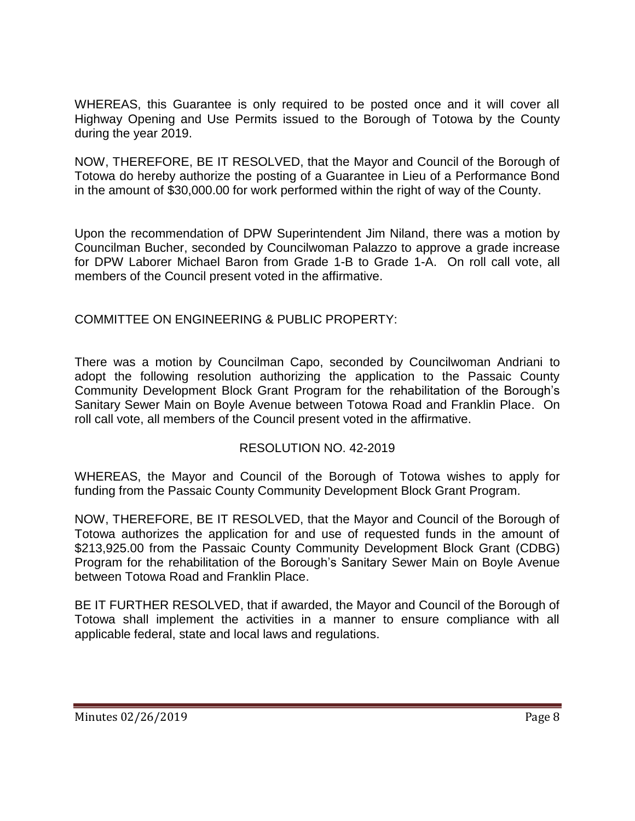WHEREAS, this Guarantee is only required to be posted once and it will cover all Highway Opening and Use Permits issued to the Borough of Totowa by the County during the year 2019.

NOW, THEREFORE, BE IT RESOLVED, that the Mayor and Council of the Borough of Totowa do hereby authorize the posting of a Guarantee in Lieu of a Performance Bond in the amount of \$30,000.00 for work performed within the right of way of the County.

Upon the recommendation of DPW Superintendent Jim Niland, there was a motion by Councilman Bucher, seconded by Councilwoman Palazzo to approve a grade increase for DPW Laborer Michael Baron from Grade 1-B to Grade 1-A. On roll call vote, all members of the Council present voted in the affirmative.

## COMMITTEE ON ENGINEERING & PUBLIC PROPERTY:

There was a motion by Councilman Capo, seconded by Councilwoman Andriani to adopt the following resolution authorizing the application to the Passaic County Community Development Block Grant Program for the rehabilitation of the Borough's Sanitary Sewer Main on Boyle Avenue between Totowa Road and Franklin Place. On roll call vote, all members of the Council present voted in the affirmative.

#### RESOLUTION NO. 42-2019

WHEREAS, the Mayor and Council of the Borough of Totowa wishes to apply for funding from the Passaic County Community Development Block Grant Program.

NOW, THEREFORE, BE IT RESOLVED, that the Mayor and Council of the Borough of Totowa authorizes the application for and use of requested funds in the amount of \$213,925.00 from the Passaic County Community Development Block Grant (CDBG) Program for the rehabilitation of the Borough's Sanitary Sewer Main on Boyle Avenue between Totowa Road and Franklin Place.

BE IT FURTHER RESOLVED, that if awarded, the Mayor and Council of the Borough of Totowa shall implement the activities in a manner to ensure compliance with all applicable federal, state and local laws and regulations.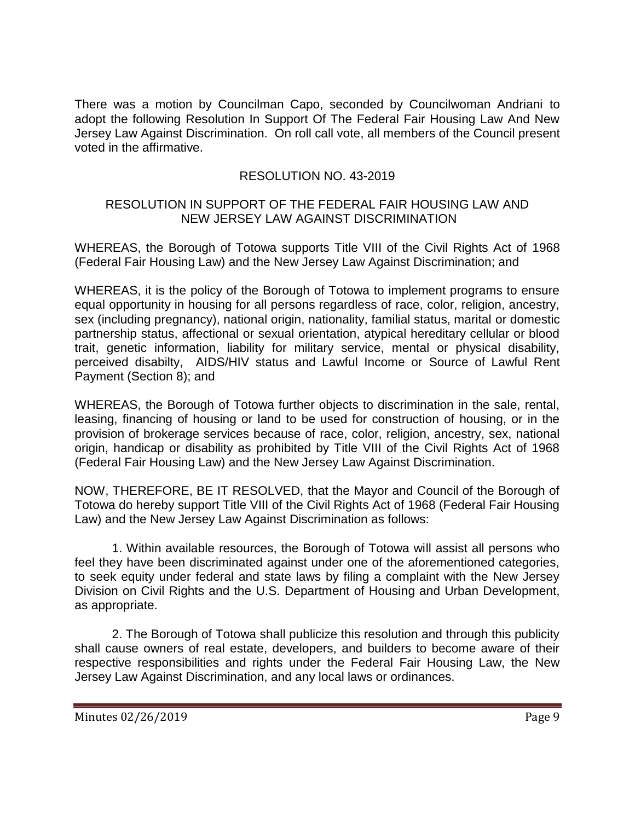There was a motion by Councilman Capo, seconded by Councilwoman Andriani to adopt the following Resolution In Support Of The Federal Fair Housing Law And New Jersey Law Against Discrimination. On roll call vote, all members of the Council present voted in the affirmative.

## RESOLUTION NO. 43-2019

### RESOLUTION IN SUPPORT OF THE FEDERAL FAIR HOUSING LAW AND NEW JERSEY LAW AGAINST DISCRIMINATION

WHEREAS, the Borough of Totowa supports Title VIII of the Civil Rights Act of 1968 (Federal Fair Housing Law) and the New Jersey Law Against Discrimination; and

WHEREAS, it is the policy of the Borough of Totowa to implement programs to ensure equal opportunity in housing for all persons regardless of race, color, religion, ancestry, sex (including pregnancy), national origin, nationality, familial status, marital or domestic partnership status, affectional or sexual orientation, atypical hereditary cellular or blood trait, genetic information, liability for military service, mental or physical disability, perceived disabilty, AIDS/HIV status and Lawful Income or Source of Lawful Rent Payment (Section 8); and

WHEREAS, the Borough of Totowa further objects to discrimination in the sale, rental, leasing, financing of housing or land to be used for construction of housing, or in the provision of brokerage services because of race, color, religion, ancestry, sex, national origin, handicap or disability as prohibited by Title VIII of the Civil Rights Act of 1968 (Federal Fair Housing Law) and the New Jersey Law Against Discrimination.

NOW, THEREFORE, BE IT RESOLVED, that the Mayor and Council of the Borough of Totowa do hereby support Title VIII of the Civil Rights Act of 1968 (Federal Fair Housing Law) and the New Jersey Law Against Discrimination as follows:

1. Within available resources, the Borough of Totowa will assist all persons who feel they have been discriminated against under one of the aforementioned categories, to seek equity under federal and state laws by filing a complaint with the New Jersey Division on Civil Rights and the U.S. Department of Housing and Urban Development, as appropriate.

2. The Borough of Totowa shall publicize this resolution and through this publicity shall cause owners of real estate, developers, and builders to become aware of their respective responsibilities and rights under the Federal Fair Housing Law, the New Jersey Law Against Discrimination, and any local laws or ordinances.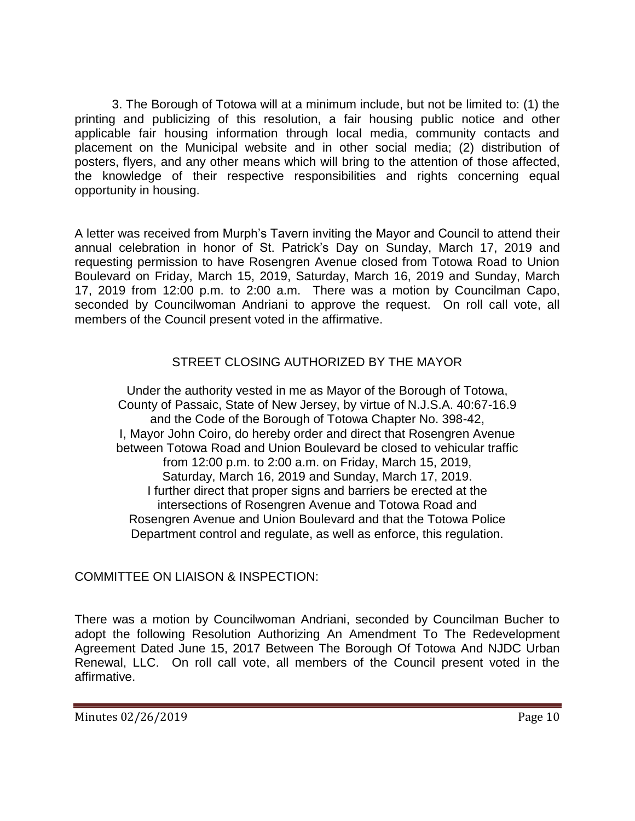3. The Borough of Totowa will at a minimum include, but not be limited to: (1) the printing and publicizing of this resolution, a fair housing public notice and other applicable fair housing information through local media, community contacts and placement on the Municipal website and in other social media; (2) distribution of posters, flyers, and any other means which will bring to the attention of those affected, the knowledge of their respective responsibilities and rights concerning equal opportunity in housing.

A letter was received from Murph's Tavern inviting the Mayor and Council to attend their annual celebration in honor of St. Patrick's Day on Sunday, March 17, 2019 and requesting permission to have Rosengren Avenue closed from Totowa Road to Union Boulevard on Friday, March 15, 2019, Saturday, March 16, 2019 and Sunday, March 17, 2019 from 12:00 p.m. to 2:00 a.m. There was a motion by Councilman Capo, seconded by Councilwoman Andriani to approve the request. On roll call vote, all members of the Council present voted in the affirmative.

# STREET CLOSING AUTHORIZED BY THE MAYOR

Under the authority vested in me as Mayor of the Borough of Totowa, County of Passaic, State of New Jersey, by virtue of N.J.S.A. 40:67-16.9 and the Code of the Borough of Totowa Chapter No. 398-42, I, Mayor John Coiro, do hereby order and direct that Rosengren Avenue between Totowa Road and Union Boulevard be closed to vehicular traffic from 12:00 p.m. to 2:00 a.m. on Friday, March 15, 2019, Saturday, March 16, 2019 and Sunday, March 17, 2019. I further direct that proper signs and barriers be erected at the intersections of Rosengren Avenue and Totowa Road and Rosengren Avenue and Union Boulevard and that the Totowa Police Department control and regulate, as well as enforce, this regulation.

## COMMITTEE ON LIAISON & INSPECTION:

There was a motion by Councilwoman Andriani, seconded by Councilman Bucher to adopt the following Resolution Authorizing An Amendment To The Redevelopment Agreement Dated June 15, 2017 Between The Borough Of Totowa And NJDC Urban Renewal, LLC. On roll call vote, all members of the Council present voted in the affirmative.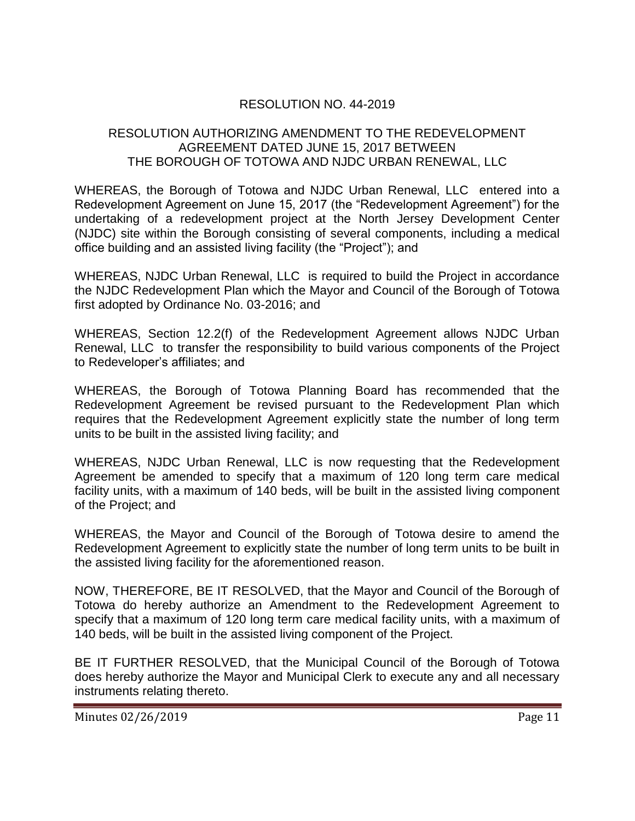## RESOLUTION NO. 44-2019

### RESOLUTION AUTHORIZING AMENDMENT TO THE REDEVELOPMENT AGREEMENT DATED JUNE 15, 2017 BETWEEN THE BOROUGH OF TOTOWA AND NJDC URBAN RENEWAL, LLC

WHEREAS, the Borough of Totowa and NJDC Urban Renewal, LLC entered into a Redevelopment Agreement on June 15, 2017 (the "Redevelopment Agreement") for the undertaking of a redevelopment project at the North Jersey Development Center (NJDC) site within the Borough consisting of several components, including a medical office building and an assisted living facility (the "Project"); and

WHEREAS, NJDC Urban Renewal, LLC is required to build the Project in accordance the NJDC Redevelopment Plan which the Mayor and Council of the Borough of Totowa first adopted by Ordinance No. 03-2016; and

WHEREAS, Section 12.2(f) of the Redevelopment Agreement allows NJDC Urban Renewal, LLC to transfer the responsibility to build various components of the Project to Redeveloper's affiliates; and

WHEREAS, the Borough of Totowa Planning Board has recommended that the Redevelopment Agreement be revised pursuant to the Redevelopment Plan which requires that the Redevelopment Agreement explicitly state the number of long term units to be built in the assisted living facility; and

WHEREAS, NJDC Urban Renewal, LLC is now requesting that the Redevelopment Agreement be amended to specify that a maximum of 120 long term care medical facility units, with a maximum of 140 beds, will be built in the assisted living component of the Project; and

WHEREAS, the Mayor and Council of the Borough of Totowa desire to amend the Redevelopment Agreement to explicitly state the number of long term units to be built in the assisted living facility for the aforementioned reason.

NOW, THEREFORE, BE IT RESOLVED, that the Mayor and Council of the Borough of Totowa do hereby authorize an Amendment to the Redevelopment Agreement to specify that a maximum of 120 long term care medical facility units, with a maximum of 140 beds, will be built in the assisted living component of the Project.

BE IT FURTHER RESOLVED, that the Municipal Council of the Borough of Totowa does hereby authorize the Mayor and Municipal Clerk to execute any and all necessary instruments relating thereto.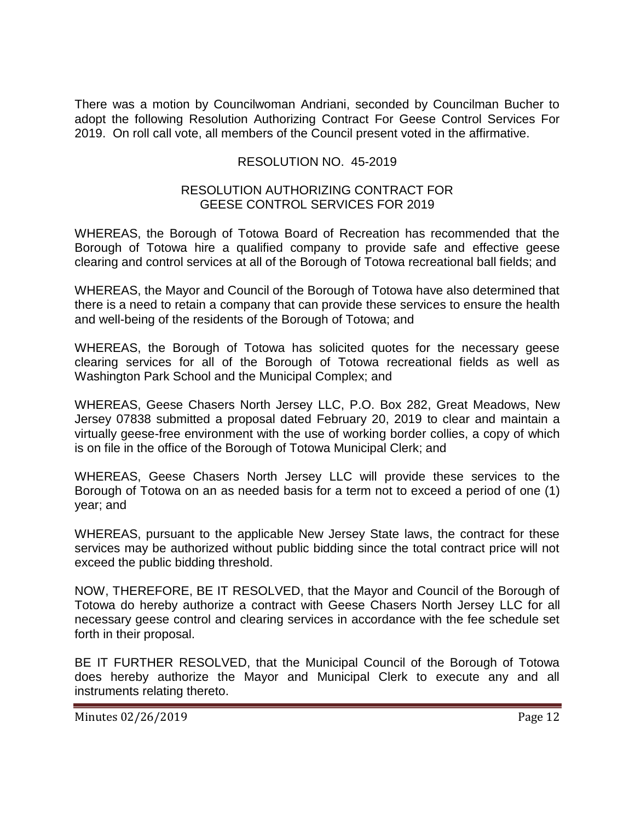There was a motion by Councilwoman Andriani, seconded by Councilman Bucher to adopt the following Resolution Authorizing Contract For Geese Control Services For 2019. On roll call vote, all members of the Council present voted in the affirmative.

## RESOLUTION NO. 45-2019

#### RESOLUTION AUTHORIZING CONTRACT FOR GEESE CONTROL SERVICES FOR 2019

WHEREAS, the Borough of Totowa Board of Recreation has recommended that the Borough of Totowa hire a qualified company to provide safe and effective geese clearing and control services at all of the Borough of Totowa recreational ball fields; and

WHEREAS, the Mayor and Council of the Borough of Totowa have also determined that there is a need to retain a company that can provide these services to ensure the health and well-being of the residents of the Borough of Totowa; and

WHEREAS, the Borough of Totowa has solicited quotes for the necessary geese clearing services for all of the Borough of Totowa recreational fields as well as Washington Park School and the Municipal Complex; and

WHEREAS, Geese Chasers North Jersey LLC, P.O. Box 282, Great Meadows, New Jersey 07838 submitted a proposal dated February 20, 2019 to clear and maintain a virtually geese-free environment with the use of working border collies, a copy of which is on file in the office of the Borough of Totowa Municipal Clerk; and

WHEREAS, Geese Chasers North Jersey LLC will provide these services to the Borough of Totowa on an as needed basis for a term not to exceed a period of one (1) year; and

WHEREAS, pursuant to the applicable New Jersey State laws, the contract for these services may be authorized without public bidding since the total contract price will not exceed the public bidding threshold.

NOW, THEREFORE, BE IT RESOLVED, that the Mayor and Council of the Borough of Totowa do hereby authorize a contract with Geese Chasers North Jersey LLC for all necessary geese control and clearing services in accordance with the fee schedule set forth in their proposal.

BE IT FURTHER RESOLVED, that the Municipal Council of the Borough of Totowa does hereby authorize the Mayor and Municipal Clerk to execute any and all instruments relating thereto.

Minutes 02/26/2019 **Page 12**